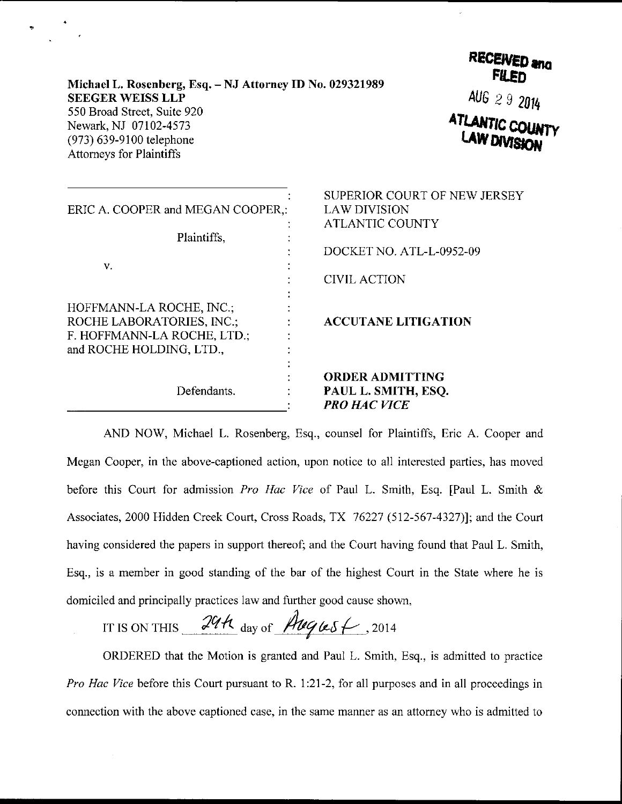| Michael L. Rosenberg, Esq. – NJ Attorney ID No. 029321989 |
|-----------------------------------------------------------|
| <b>SEEGER WEISS LLP</b>                                   |
| 550 Broad Street, Suite 920                               |
| Newark, NJ 07102-4573                                     |
| $(973)$ 639-9100 telephone                                |
| <b>Attorneys for Plaintiffs</b>                           |

RECEIVED and AUG  $292014$ <br>**ATLANTIC COLINTY** 

| ERIC A. COOPER and MEGAN COOPER,:<br>Plaintiffs,                                                                 | SUPERIOR COURT OF NEW JERSEY<br><b>LAW DIVISION</b><br><b>ATLANTIC COUNTY</b> |
|------------------------------------------------------------------------------------------------------------------|-------------------------------------------------------------------------------|
| v.                                                                                                               | DOCKET NO. ATL-L-0952-09<br><b>CIVIL ACTION</b>                               |
| HOFFMANN-LA ROCHE, INC.:<br>ROCHE LABORATORIES, INC.,<br>F. HOFFMANN-LA ROCHE, LTD.;<br>and ROCHE HOLDING, LTD., | <b>ACCUTANE LITIGATION</b>                                                    |
| Defendants.                                                                                                      | <b>ORDER ADMITTING</b><br>PAUL L. SMITH, ESQ.<br><b>PRO HAC VICE</b>          |

AND NOW, Michael L. Rosenberg, Esq., counsel for Plaintiffs, Eric A. Cooper and Megan Cooper, in the above-captioned action, upon notice to all interested parties, has moved before this Court for admission Pro Hac Vice of Paul L. Smith, Esq. [Paul L. Smith  $\&$ Associates, 2000 Hidden Creek Court, Cross Roads, TX 76227 (512-567-4327)]; and the Court having considered the papers in support thereof; and the Court having found that Paul L. Smith, Esq., is a member in good standing of the bar of the highest Court in the State where he is domiciled and principally practices law and further good cause shown,

IT IS ON THIS  $\frac{24\pi}{\omega_{\text{day of}}}\frac{\text{Auges}}{\text{Auges}}$ , 2014

ORDERED that the Motion is granted and Paul L. Smith, Esq., is admitted to practice Pro Hac Vice before this Court pursuant to R. 1:21-2, for all purposes and in all proceedings in connection with the above captioned case, in the same manner as an attorney who is admitted to